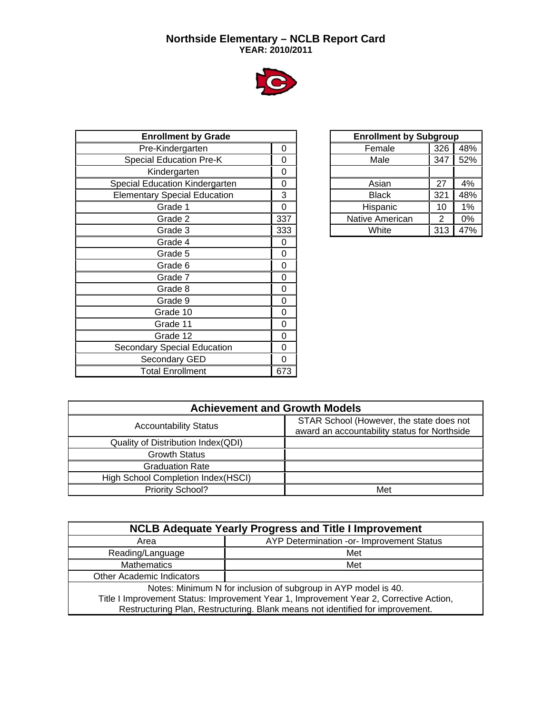## **Northside Elementary – NCLB Report Card YEAR: 2010/2011**



| <b>Enrollment by Grade</b>          |     |
|-------------------------------------|-----|
| Pre-Kindergarten                    | 0   |
| <b>Special Education Pre-K</b>      | 0   |
| Kindergarten                        | 0   |
| Special Education Kindergarten      | 0   |
| <b>Elementary Special Education</b> | 3   |
| Grade 1                             | 0   |
| Grade 2                             | 337 |
| Grade 3                             | 333 |
| Grade 4                             | 0   |
| Grade 5                             | 0   |
| Grade 6                             | 0   |
| Grade 7                             | 0   |
| Grade 8                             | 0   |
| Grade 9                             | 0   |
| Grade 10                            | 0   |
| Grade 11                            | 0   |
| Grade 12                            | 0   |
| Secondary Special Education         | 0   |
| Secondary GED                       | 0   |
| <b>Total Enrollment</b>             | 673 |

| <b>Enrollment by Subgroup</b> |     |     |  |  |  |  |  |  |  |  |
|-------------------------------|-----|-----|--|--|--|--|--|--|--|--|
| Female                        | 326 | 48% |  |  |  |  |  |  |  |  |
| Male                          | 347 | 52% |  |  |  |  |  |  |  |  |
|                               |     |     |  |  |  |  |  |  |  |  |
| Asian                         | 27  | 4%  |  |  |  |  |  |  |  |  |
| <b>Black</b>                  | 321 | 48% |  |  |  |  |  |  |  |  |
| Hispanic                      | 10  | 1%  |  |  |  |  |  |  |  |  |
| Native American               | 2   | 0%  |  |  |  |  |  |  |  |  |
| White                         | 313 | 47% |  |  |  |  |  |  |  |  |

| <b>Achievement and Growth Models</b> |                                                                                          |  |  |  |  |  |  |  |  |  |
|--------------------------------------|------------------------------------------------------------------------------------------|--|--|--|--|--|--|--|--|--|
| <b>Accountability Status</b>         | STAR School (However, the state does not<br>award an accountability status for Northside |  |  |  |  |  |  |  |  |  |
| Quality of Distribution Index(QDI)   |                                                                                          |  |  |  |  |  |  |  |  |  |
| <b>Growth Status</b>                 |                                                                                          |  |  |  |  |  |  |  |  |  |
| <b>Graduation Rate</b>               |                                                                                          |  |  |  |  |  |  |  |  |  |
| High School Completion Index(HSCI)   |                                                                                          |  |  |  |  |  |  |  |  |  |
| Priority School?                     | Met                                                                                      |  |  |  |  |  |  |  |  |  |

| <b>NCLB Adequate Yearly Progress and Title I Improvement</b>                           |                                                                                |  |  |  |  |  |  |  |  |  |
|----------------------------------------------------------------------------------------|--------------------------------------------------------------------------------|--|--|--|--|--|--|--|--|--|
| Area                                                                                   | AYP Determination -or- Improvement Status                                      |  |  |  |  |  |  |  |  |  |
| Reading/Language                                                                       | Met                                                                            |  |  |  |  |  |  |  |  |  |
| Mathematics                                                                            | Met                                                                            |  |  |  |  |  |  |  |  |  |
| <b>Other Academic Indicators</b>                                                       |                                                                                |  |  |  |  |  |  |  |  |  |
| Notes: Minimum N for inclusion of subgroup in AYP model is 40.                         |                                                                                |  |  |  |  |  |  |  |  |  |
| Title I Improvement Status: Improvement Year 1, Improvement Year 2, Corrective Action, |                                                                                |  |  |  |  |  |  |  |  |  |
|                                                                                        | Restructuring Plan, Restructuring. Blank means not identified for improvement. |  |  |  |  |  |  |  |  |  |